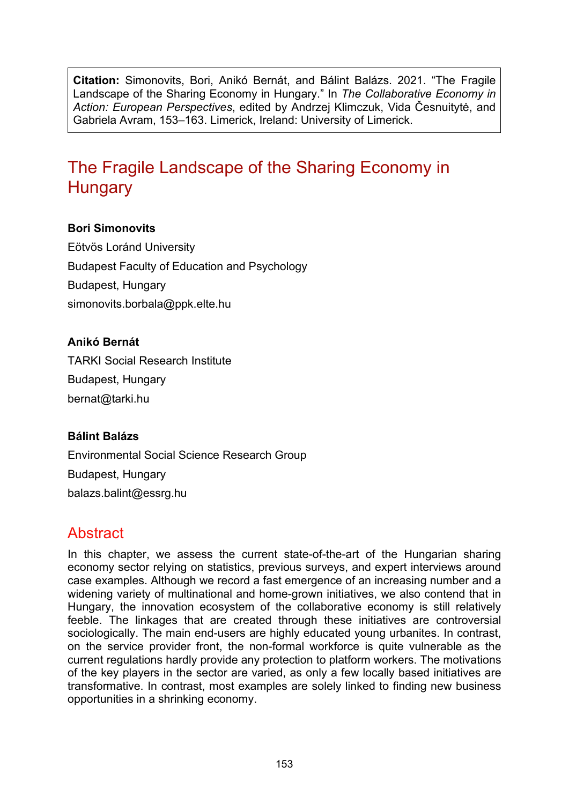**Citation:** Simonovits, Bori, Anikó Bernát, and Bálint Balázs. 2021. "The Fragile Landscape of the Sharing Economy in Hungary." In *The Collaborative Economy in Action: European Perspectives*, edited by Andrzej Klimczuk, Vida Česnuitytė, and Gabriela Avram, 153–163. Limerick, Ireland: University of Limerick.

# The Fragile Landscape of the Sharing Economy in **Hungary**

#### **Bori Simonovits**

Eötvös Loránd University Budapest Faculty of Education and Psychology Budapest, Hungary [simonovits.borbala@ppk.elte.hu](mailto:simonovits.borbala@ppk.elte.hu)

#### **Anikó Bernát**

TARKI Social Research Institute Budapest, Hungary [bernat@tarki.hu](mailto:bernat@tarki.hu)

#### **Bálint Balázs**

Environmental Social Science Research Group Budapest, Hungary balazs.balint@essrg.hu

## **Abstract**

In this chapter, we assess the current state-of-the-art of the Hungarian sharing economy sector relying on statistics, previous surveys, and expert interviews around case examples. Although we record a fast emergence of an increasing number and a widening variety of multinational and home-grown initiatives, we also contend that in Hungary, the innovation ecosystem of the collaborative economy is still relatively feeble. The linkages that are created through these initiatives are controversial sociologically. The main end-users are highly educated young urbanites. In contrast, on the service provider front, the non-formal workforce is quite vulnerable as the current regulations hardly provide any protection to platform workers. The motivations of the key players in the sector are varied, as only a few locally based initiatives are transformative. In contrast, most examples are solely linked to finding new business opportunities in a shrinking economy.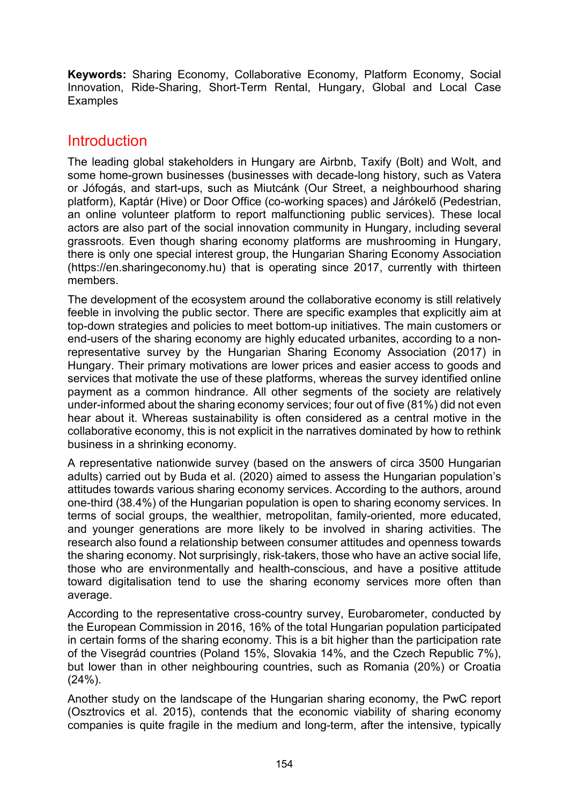**Keywords:** Sharing Economy, Collaborative Economy, Platform Economy, Social Innovation, Ride-Sharing, Short-Term Rental, Hungary, Global and Local Case **Examples** 

# **Introduction**

The leading global stakeholders in Hungary are Airbnb, Taxify (Bolt) and Wolt, and some home-grown businesses (businesses with decade-long history, such as Vatera or Jófogás, and start-ups, such as Miutcánk (Our Street, a neighbourhood sharing platform), Kaptár (Hive) or Door Office (co-working spaces) and Járókelő (Pedestrian, an online volunteer platform to report malfunctioning public services). These local actors are also part of the social innovation community in Hungary, including several grassroots. Even though sharing economy platforms are mushrooming in Hungary, there is only one special interest group, the Hungarian Sharing Economy Association [\(https://en.sharingeconomy.hu\)](https://en.sharingeconomy.hu/) that is operating since 2017, currently with thirteen members.

The development of the ecosystem around the collaborative economy is still relatively feeble in involving the public sector. There are specific examples that explicitly aim at top-down strategies and policies to meet bottom-up initiatives. The main customers or end-users of the sharing economy are highly educated urbanites, according to a nonrepresentative survey by the Hungarian Sharing Economy Association (2017) in Hungary. Their primary motivations are lower prices and easier access to goods and services that motivate the use of these platforms, whereas the survey identified online payment as a common hindrance. All other segments of the society are relatively under-informed about the sharing economy services; four out of five (81%) did not even hear about it. Whereas sustainability is often considered as a central motive in the collaborative economy, this is not explicit in the narratives dominated by how to rethink business in a shrinking economy.

A representative nationwide survey (based on the answers of circa 3500 Hungarian adults) carried out by Buda et al. (2020) aimed to assess the Hungarian population's attitudes towards various sharing economy services. According to the authors, around one-third (38.4%) of the Hungarian population is open to sharing economy services. In terms of social groups, the wealthier, metropolitan, family-oriented, more educated, and younger generations are more likely to be involved in sharing activities. The research also found a relationship between consumer attitudes and openness towards the sharing economy. Not surprisingly, risk-takers, those who have an active social life, those who are environmentally and health-conscious, and have a positive attitude toward digitalisation tend to use the sharing economy services more often than average.

According to the representative cross-country survey, Eurobarometer, conducted by the European Commission in 2016, 16% of the total Hungarian population participated in certain forms of the sharing economy. This is a bit higher than the participation rate of the Visegrád countries (Poland 15%, Slovakia 14%, and the Czech Republic 7%), but lower than in other neighbouring countries, such as Romania (20%) or Croatia (24%).

Another study on the landscape of the Hungarian sharing economy, the PwC report (Osztrovics et al. 2015), contends that the economic viability of sharing economy companies is quite fragile in the medium and long-term, after the intensive, typically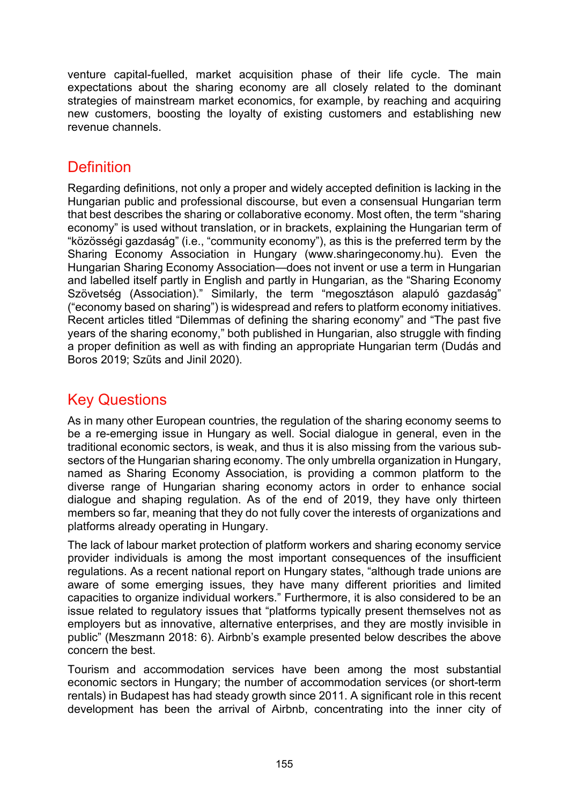venture capital-fuelled, market acquisition phase of their life cycle. The main expectations about the sharing economy are all closely related to the dominant strategies of mainstream market economics, for example, by reaching and acquiring new customers, boosting the loyalty of existing customers and establishing new revenue channels.

# **Definition**

Regarding definitions, not only a proper and widely accepted definition is lacking in the Hungarian public and professional discourse, but even a consensual Hungarian term that best describes the sharing or collaborative economy. Most often, the term "sharing economy" is used without translation, or in brackets, explaining the Hungarian term of "közösségi gazdaság" (i.e., "community economy"), as this is the preferred term by the Sharing Economy Association in Hungary [\(www.sharingeconomy.hu\)](https://www.sharingeconomy.hu/). Even the Hungarian Sharing Economy Association—does not invent or use a term in Hungarian and labelled itself partly in English and partly in Hungarian, as the "Sharing Economy Szövetség (Association)." Similarly, the term "megosztáson alapuló gazdaság" ("economy based on sharing") is widespread and refers to platform economy initiatives. Recent articles titled "Dilemmas of defining the sharing economy" and "The past five years of the sharing economy," both published in Hungarian, also struggle with finding a proper definition as well as with finding an appropriate Hungarian term (Dudás and Boros 2019; Szűts and Jinil 2020).

# Key Questions

As in many other European countries, the regulation of the sharing economy seems to be a re-emerging issue in Hungary as well. Social dialogue in general, even in the traditional economic sectors, is weak, and thus it is also missing from the various subsectors of the Hungarian sharing economy. The only umbrella organization in Hungary, named as Sharing Economy Association, is providing a common platform to the diverse range of Hungarian sharing economy actors in order to enhance social dialogue and shaping regulation. As of the end of 2019, they have only thirteen members so far, meaning that they do not fully cover the interests of organizations and platforms already operating in Hungary.

The lack of labour market protection of platform workers and sharing economy service provider individuals is among the most important consequences of the insufficient regulations. As a recent national report on Hungary states, "although trade unions are aware of some emerging issues, they have many different priorities and limited capacities to organize individual workers." Furthermore, it is also considered to be an issue related to regulatory issues that "platforms typically present themselves not as employers but as innovative, alternative enterprises, and they are mostly invisible in public" (Meszmann 2018: 6). Airbnb's example presented below describes the above concern the best.

Tourism and accommodation services have been among the most substantial economic sectors in Hungary; the number of accommodation services (or short-term rentals) in Budapest has had steady growth since 2011. A significant role in this recent development has been the arrival of Airbnb, concentrating into the inner city of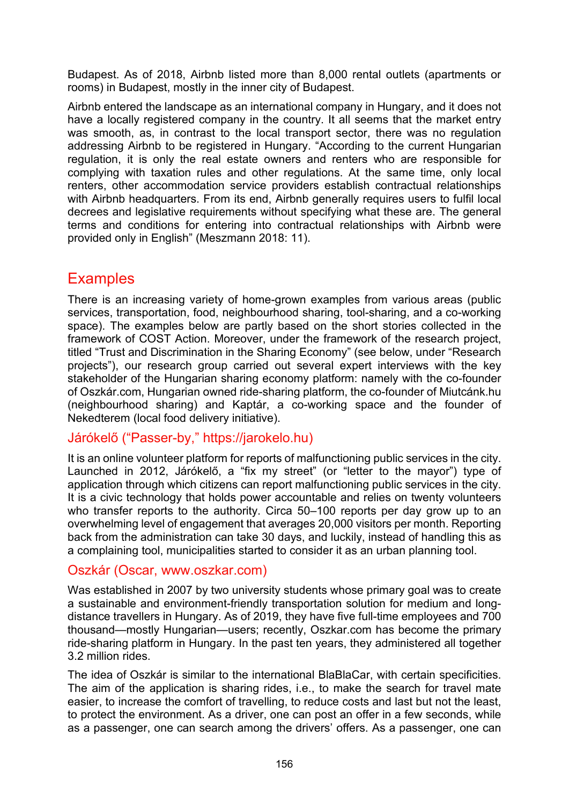Budapest. As of 2018, Airbnb listed more than 8,000 rental outlets (apartments or rooms) in Budapest, mostly in the inner city of Budapest.

Airbnb entered the landscape as an international company in Hungary, and it does not have a locally registered company in the country. It all seems that the market entry was smooth, as, in contrast to the local transport sector, there was no regulation addressing Airbnb to be registered in Hungary. "According to the current Hungarian regulation, it is only the real estate owners and renters who are responsible for complying with taxation rules and other regulations. At the same time, only local renters, other accommodation service providers establish contractual relationships with Airbnb headquarters. From its end, Airbnb generally requires users to fulfil local decrees and legislative requirements without specifying what these are. The general terms and conditions for entering into contractual relationships with Airbnb were provided only in English" (Meszmann 2018: 11).

# **Examples**

There is an increasing variety of home-grown examples from various areas (public services, transportation, food, neighbourhood sharing, tool-sharing, and a co-working space). The examples below are partly based on the short stories collected in the framework of COST Action. Moreover, under the framework of the research project, titled "Trust and Discrimination in the Sharing Economy" (see below, under "Research projects"), our research group carried out several expert interviews with the key stakeholder of the Hungarian sharing economy platform: namely with the co-founder of Oszkár.com, Hungarian owned ride-sharing platform, the co-founder of Miutcánk.hu (neighbourhood sharing) and Kaptár, a co-working space and the founder of Nekedterem (local food delivery initiative).

### Járókelő ("Passer-by," [https://jarokelo.hu\)](https://jarokelo.hu/)

It is an online volunteer platform for reports of malfunctioning public services in the city. Launched in 2012, Járókelő, a "fix my street" (or "letter to the mayor") type of application through which citizens can report malfunctioning public services in the city. It is a civic technology that holds power accountable and relies on twenty volunteers who transfer reports to the authority. Circa 50–100 reports per day grow up to an overwhelming level of engagement that averages 20,000 visitors per month. Reporting back from the administration can take 30 days, and luckily, instead of handling this as a complaining tool, municipalities started to consider it as an urban planning tool.

#### Oszkár (Oscar, www.oszkar.com)

Was established in 2007 by two university students whose primary goal was to create a sustainable and environment-friendly transportation solution for medium and longdistance travellers in Hungary. As of 2019, they have five full-time employees and 700 thousand—mostly Hungarian—users; recently, Oszkar.com has become the primary ride-sharing platform in Hungary. In the past ten years, they administered all together 3.2 million rides.

The idea of Oszkár is similar to the international BlaBlaCar, with certain specificities. The aim of the application is sharing rides, i.e., to make the search for travel mate easier, to increase the comfort of travelling, to reduce costs and last but not the least, to protect the environment. As a driver, one can post an offer in a few seconds, while as a passenger, one can search among the drivers' offers. As a passenger, one can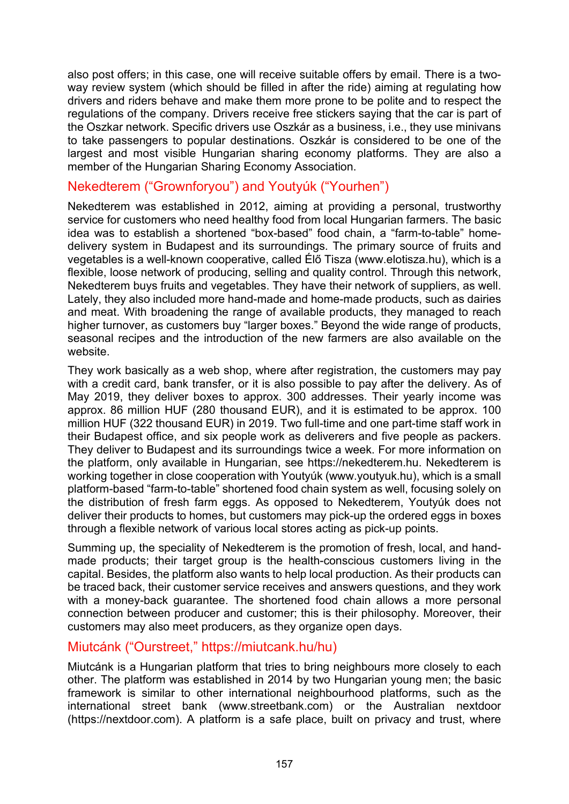also post offers; in this case, one will receive suitable offers by email. There is a twoway review system (which should be filled in after the ride) aiming at regulating how drivers and riders behave and make them more prone to be polite and to respect the regulations of the company. Drivers receive free stickers saying that the car is part of the Oszkar network. Specific drivers use Oszkár as a business, i.e., they use minivans to take passengers to popular destinations. Oszkár is considered to be one of the largest and most visible Hungarian sharing economy platforms. They are also a member of the Hungarian Sharing Economy Association.

### Nekedterem ("Grownforyou") and Youtyúk ("Yourhen")

Nekedterem was established in 2012, aiming at providing a personal, trustworthy service for customers who need healthy food from local Hungarian farmers. The basic idea was to establish a shortened "box-based" food chain, a "farm-to-table" homedelivery system in Budapest and its surroundings. The primary source of fruits and vegetables is a well-known cooperative, called [Élő Tisza](http://www.elotisza.hu/) [\(www.elotisza.hu\),](http://www.elotisza.hu/)) which is a flexible, loose network of producing, selling and quality control. Through this network, Nekedterem buys fruits and vegetables. They have their network of suppliers, as well. Lately, they also included more hand-made and home-made products, such as dairies and meat. With broadening the range of available products, they managed to reach higher turnover, as customers buy "larger boxes." Beyond the wide range of products, seasonal recipes and the introduction of the new farmers are also available on the website.

They work basically as a web shop, where after registration, the customers may pay with a credit card, bank transfer, or it is also possible to pay after the delivery. As of May 2019, they deliver boxes to approx. 300 addresses. Their yearly income was approx. 86 million HUF (280 thousand EUR), and it is estimated to be approx. 100 million HUF (322 thousand EUR) in 2019. Two full-time and one part-time staff work in their Budapest office, and six people work as deliverers and five people as packers. They deliver to Budapest and its surroundings twice a week. For more information on the platform, only available in Hungarian, see [https://nekedterem.hu.](https://nekedterem.hu/) Nekedterem is working together in close cooperation with Youtyúk [\(www.youtyuk.hu\)](https://www.youtyuk.hu/), which is a small platform-based "farm-to-table" shortened food chain system as well, focusing solely on the distribution of fresh farm eggs. As opposed to Nekedterem, Youtyúk does not deliver their products to homes, but customers may pick-up the ordered eggs in boxes through a flexible network of various local stores acting as pick-up points.

Summing up, the speciality of Nekedterem is the promotion of fresh, local, and handmade products; their target group is the health-conscious customers living in the capital. Besides, the platform also wants to help local production. As their products can be traced back, their customer service receives and answers questions, and they work with a money-back guarantee. The shortened food chain allows a more personal connection between producer and customer; this is their philosophy. Moreover, their customers may also meet producers, as they organize open days.

#### Miutcánk ("Ourstreet," https://miutcank.hu/hu)

Miutcánk is a Hungarian platform that tries to bring neighbours more closely to each other. The platform was established in 2014 by two Hungarian young men; the basic framework is similar to other international neighbourhood platforms, such as the international street bank (www.streetbank.com) or the Australian nextdoor (https://nextdoor.com). A platform is a safe place, built on privacy and trust, where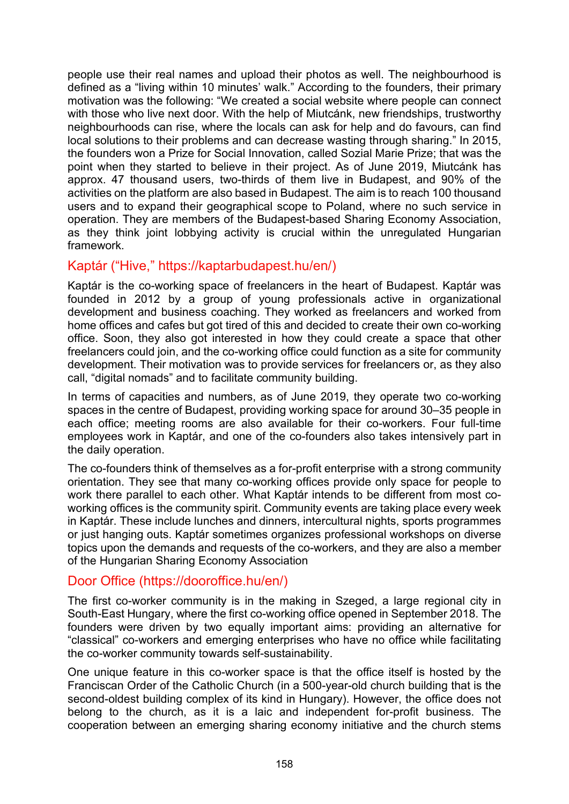people use their real names and upload their photos as well. The neighbourhood is defined as a "living within 10 minutes' walk." According to the founders, their primary motivation was the following: "We created a social website where people can connect with those who live next door. With the help of Miutcánk, new friendships, trustworthy neighbourhoods can rise, where the locals can ask for help and do favours, can find local solutions to their problems and can decrease wasting through sharing." In 2015, the founders won a Prize for Social Innovation, called Sozial Marie Prize; that was the point when they started to believe in their project. As of June 2019, Miutcánk has approx. 47 thousand users, two-thirds of them live in Budapest, and 90% of the activities on the platform are also based in Budapest. The aim is to reach 100 thousand users and to expand their geographical scope to Poland, where no such service in operation. They are members of the Budapest-based Sharing Economy Association, as they think joint lobbying activity is crucial within the unregulated Hungarian framework.

#### Kaptár ("Hive," <https://kaptarbudapest.hu/en/>)

Kaptár is the co-working space of freelancers in the heart of Budapest. Kaptár was founded in 2012 by a group of young professionals active in organizational development and business coaching. They worked as freelancers and worked from home offices and cafes but got tired of this and decided to create their own co-working office. Soon, they also got interested in how they could create a space that other freelancers could join, and the co-working office could function as a site for community development. Their motivation was to provide services for freelancers or, as they also call, "digital nomads" and to facilitate community building.

In terms of capacities and numbers, as of June 2019, they operate two co-working spaces in the centre of Budapest, providing working space for around 30–35 people in each office; meeting rooms are also available for their co-workers. Four full-time employees work in Kaptár, and one of the co-founders also takes intensively part in the daily operation.

The co-founders think of themselves as a for-profit enterprise with a strong community orientation. They see that many co-working offices provide only space for people to work there parallel to each other. What Kaptár intends to be different from most coworking offices is the community spirit. Community events are taking place every week in Kaptár. These include lunches and dinners, intercultural nights, sports programmes or just hanging outs. Kaptár sometimes organizes professional workshops on diverse topics upon the demands and requests of the co-workers, and they are also a member of the Hungarian Sharing Economy Association

#### Door Office (https://dooroffice.hu/en/)

The first co-worker community is in the making in Szeged, a large regional city in South-East Hungary, where the first co-working office opened in September 2018. The founders were driven by two equally important aims: providing an alternative for "classical" co-workers and emerging enterprises who have no office while facilitating the co-worker community towards self-sustainability.

One unique feature in this co-worker space is that the office itself is hosted by the Franciscan Order of the Catholic Church (in a 500-year-old church building that is the second-oldest building complex of its kind in Hungary). However, the office does not belong to the church, as it is a laic and independent for-profit business. The cooperation between an emerging sharing economy initiative and the church stems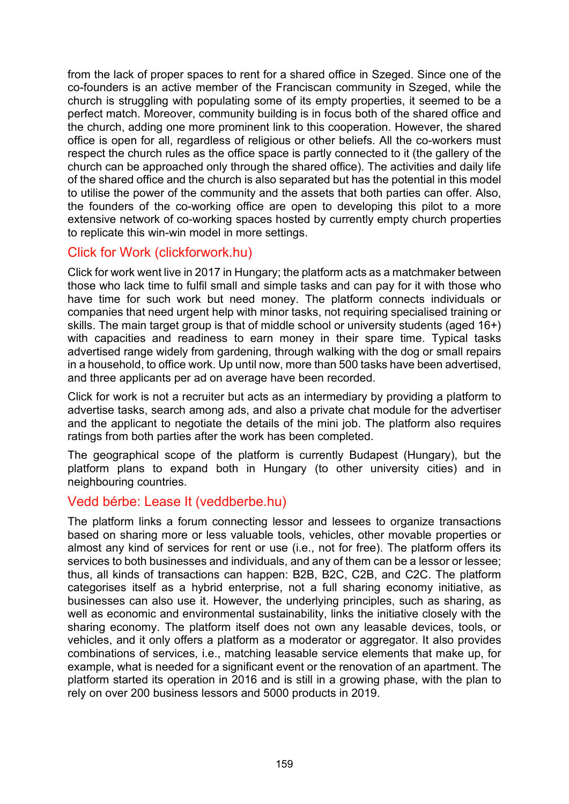from the lack of proper spaces to rent for a shared office in Szeged. Since one of the co-founders is an active member of the Franciscan community in Szeged, while the church is struggling with populating some of its empty properties, it seemed to be a perfect match. Moreover, community building is in focus both of the shared office and the church, adding one more prominent link to this cooperation. However, the shared office is open for all, regardless of religious or other beliefs. All the co-workers must respect the church rules as the office space is partly connected to it (the gallery of the church can be approached only through the shared office). The activities and daily life of the shared office and the church is also separated but has the potential in this model to utilise the power of the community and the assets that both parties can offer. Also, the founders of the co-working office are open to developing this pilot to a more extensive network of co-working spaces hosted by currently empty church properties to replicate this win-win model in more settings.

### Click for Work (clickforwork.hu)

[Click for work](http://sharingandcaring.eu/case-study/clickforwork.hu) went live in 2017 in Hungary; the platform acts as a matchmaker between those who lack time to fulfil small and simple tasks and can pay for it with those who have time for such work but need money. The platform connects individuals or companies that need urgent help with minor tasks, not requiring specialised training or skills. The main target group is that of middle school or university students (aged 16+) with capacities and readiness to earn money in their spare time. Typical tasks advertised range widely from gardening, through walking with the dog or small repairs in a household, to office work. Up until now, more than 500 tasks have been advertised, and three applicants per ad on average have been recorded.

Click for work is not a recruiter but acts as an intermediary by providing a platform to advertise tasks, search among ads, and also a private chat module for the advertiser and the applicant to negotiate the details of the mini job. The platform also requires ratings from both parties after the work has been completed.

The geographical scope of the platform is currently Budapest (Hungary), but the platform plans to expand both in Hungary (to other university cities) and in neighbouring countries.

#### Vedd bérbe: Lease It (veddberbe.hu)

The platform links a forum connecting lessor and lessees to organize transactions based on sharing more or less valuable tools, vehicles, other movable properties or almost any kind of services for rent or use (i.e., not for free). The platform offers its services to both businesses and individuals, and any of them can be a lessor or lessee; thus, all kinds of transactions can happen: B2B, B2C, C2B, and C2C. The platform categorises itself as a hybrid enterprise, not a full sharing economy initiative, as businesses can also use it. However, the underlying principles, such as sharing, as well as economic and environmental sustainability, links the initiative closely with the sharing economy. The platform itself does not own any leasable devices, tools, or vehicles, and it only offers a platform as a moderator or aggregator. It also provides combinations of services, i.e., matching leasable service elements that make up, for example, what is needed for a significant event or the renovation of an apartment. The platform started its operation in 2016 and is still in a growing phase, with the plan to rely on over 200 business lessors and 5000 products in 2019.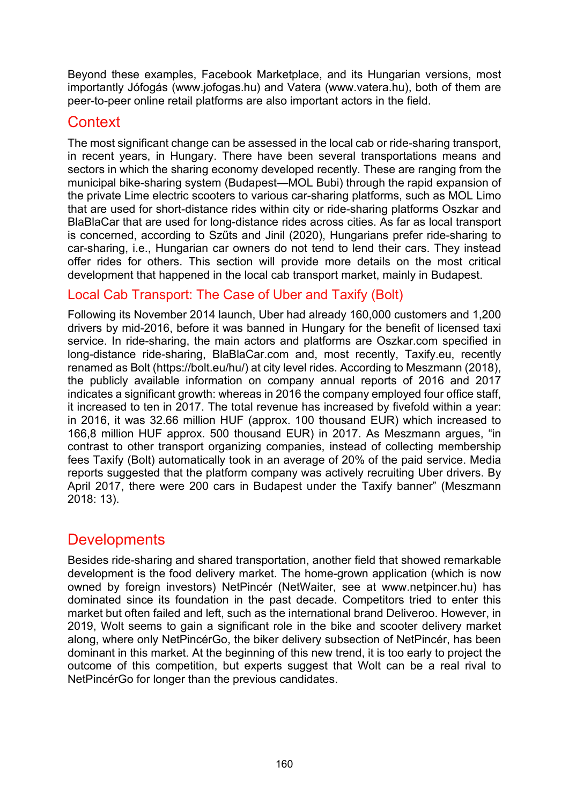Beyond these examples, Facebook Marketplace, and its Hungarian versions, most importantly Jófogás [\(www.jofogas.hu\)](https://www.jofogas.hu/) and Vatera [\(www.vatera.hu\)](https://www.vatera.hu/)), both of them are peer-to-peer online retail platforms are also important actors in the field.

# **Context**

The most significant change can be assessed in the local cab or ride-sharing transport, in recent years, in Hungary. There have been several transportations means and sectors in which the sharing economy developed recently. These are ranging from the municipal bike-sharing system (Budapest—MOL Bubi) through the rapid expansion of the private Lime electric scooters to various car-sharing platforms, such as MOL Limo that are used for short-distance rides within city or ride-sharing platforms Oszkar and BlaBlaCar that are used for long-distance rides across cities. As far as local transport is concerned, according to Szűts and Jinil (2020), Hungarians prefer ride-sharing to car-sharing, i.e., Hungarian car owners do not tend to lend their cars. They instead offer rides for others. This section will provide more details on the most critical development that happened in the local cab transport market, mainly in Budapest.

## Local Cab Transport: The Case of Uber and Taxify (Bolt)

Following its November 2014 launch, Uber had already 160,000 customers and 1,200 drivers by mid-2016, before it was banned in Hungary for the benefit of licensed taxi service. In ride-sharing, the main actors and platforms are Oszkar.com specified in long-distance ride-sharing, BlaBlaCar.com and, most recently, Taxify.eu, recently renamed as Bolt ([https://bolt.eu/hu/\)](https://bolt.eu/hu/)) at city level rides. According to Meszmann (2018), the publicly available information on company annual reports of 2016 and 2017 indicates a significant growth: whereas in 2016 the company employed four office staff, it increased to ten in 2017. The total revenue has increased by fivefold within a year: in 2016, it was 32.66 million HUF (approx. 100 thousand EUR) which increased to 166,8 million HUF approx. 500 thousand EUR) in 2017. As Meszmann argues, "in contrast to other transport organizing companies, instead of collecting membership fees Taxify (Bolt) automatically took in an average of 20% of the paid service. Media reports suggested that the platform company was actively recruiting Uber drivers. By April 2017, there were 200 cars in Budapest under the Taxify banner" (Meszmann 2018: 13).

# **Developments**

Besides ride-sharing and shared transportation, another field that showed remarkable development is the food delivery market. The home-grown application (which is now owned by foreign investors) NetPincér (NetWaiter, see at www.netpincer.hu) has dominated since its foundation in the past decade. Competitors tried to enter this market but often failed and left, such as the international brand Deliveroo. However, in 2019, Wolt seems to gain a significant role in the bike and scooter delivery market along, where only NetPincérGo, the biker delivery subsection of NetPincér, has been dominant in this market. At the beginning of this new trend, it is too early to project the outcome of this competition, but experts suggest that Wolt can be a real rival to NetPincérGo for longer than the previous candidates.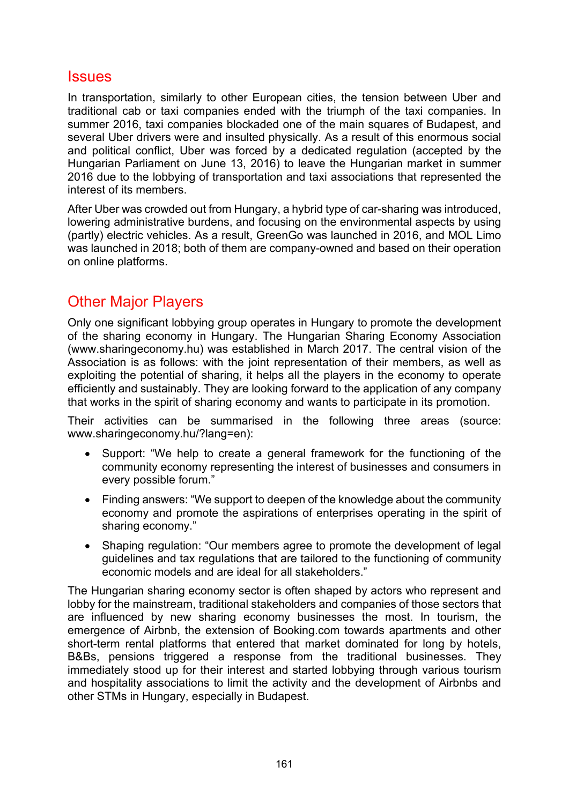### **Issues**

In transportation, similarly to other European cities, the tension between Uber and traditional cab or taxi companies ended with the triumph of the taxi companies. In summer 2016, taxi companies blockaded one of the main squares of Budapest, and several Uber drivers were and insulted physically. As a result of this enormous social and political conflict, Uber was forced by a dedicated regulation (accepted by the Hungarian Parliament on June 13, 2016) to leave the Hungarian market in summer 2016 due to the lobbying of transportation and taxi associations that represented the interest of its members.

After Uber was crowded out from Hungary, a hybrid type of car-sharing was introduced, lowering administrative burdens, and focusing on the environmental aspects by using (partly) electric vehicles. As a result, GreenGo was launched in 2016, and MOL Limo was launched in 2018; both of them are company-owned and based on their operation on online platforms.

# Other Major Players

Only one significant lobbying group operates in Hungary to promote the development of the sharing economy in Hungary. The Hungarian Sharing Economy Association [\(www.sharingeconomy.hu](https://www.sharingeconomy.hu/)) was established in March 2017. The central vision of the Association is as follows: with the joint representation of their members, as well as exploiting the potential of sharing, it helps all the players in the economy to operate efficiently and sustainably. They are looking forward to the application of any company that works in the spirit of sharing economy and wants to participate in its promotion.

Their activities can be summarised in the following three areas (source: [www.sharingeconomy.hu/?lang=en\)](https://www.sharingeconomy.hu/?lang=en):

- Support: "We help to create a general framework for the functioning of the community economy representing the interest of businesses and consumers in every possible forum."
- Finding answers: "We support to deepen of the knowledge about the community economy and promote the aspirations of enterprises operating in the spirit of sharing economy."
- Shaping regulation: "Our members agree to promote the development of legal guidelines and tax regulations that are tailored to the functioning of community economic models and are ideal for all stakeholders."

The Hungarian sharing economy sector is often shaped by actors who represent and lobby for the mainstream, traditional stakeholders and companies of those sectors that are influenced by new sharing economy businesses the most. In tourism, the emergence of Airbnb, the extension of Booking.com towards apartments and other short-term rental platforms that entered that market dominated for long by hotels, B&Bs, pensions triggered a response from the traditional businesses. They immediately stood up for their interest and started lobbying through various tourism and hospitality associations to limit the activity and the development of Airbnbs and other STMs in Hungary, especially in Budapest.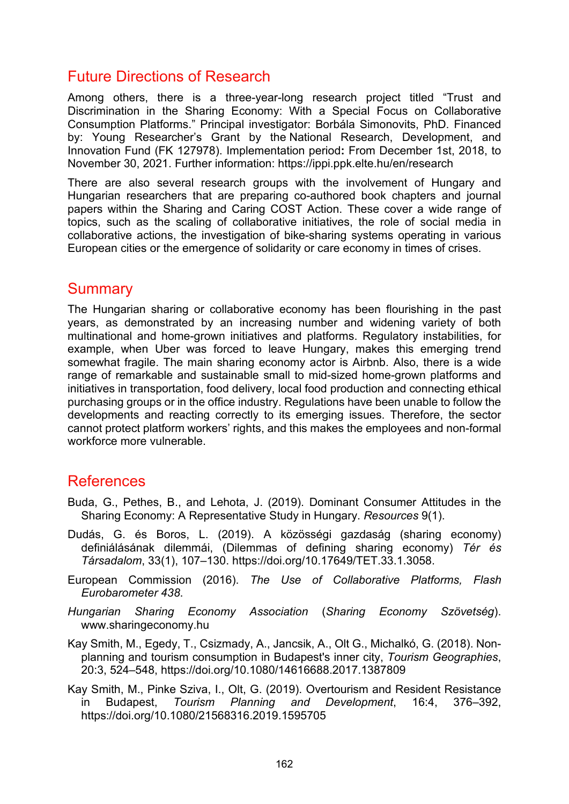# Future Directions of Research

Among others, there is a three-year-long research project titled "Trust and Discrimination in the Sharing Economy: With a Special Focus on Collaborative Consumption Platforms." Principal investigator: Borbála Simonovits, PhD. Financed by: Young Researcher's Grant by the National Research, Development, and Innovation Fund (FK 127978). Implementation period**:** From December 1st, 2018, to November 30, 2021. Further information:<https://ippi.ppk.elte.hu/en/research>

There are also several research groups with the involvement of Hungary and Hungarian researchers that are preparing co-authored book chapters and journal papers within the Sharing and Caring COST Action. These cover a wide range of topics, such as the scaling of collaborative initiatives, the role of social media in collaborative actions, the investigation of bike-sharing systems operating in various European cities or the emergence of solidarity or care economy in times of crises.

### **Summary**

The Hungarian sharing or collaborative economy has been flourishing in the past years, as demonstrated by an increasing number and widening variety of both multinational and home-grown initiatives and platforms. Regulatory instabilities, for example, when Uber was forced to leave Hungary, makes this emerging trend somewhat fragile. The main sharing economy actor is Airbnb. Also, there is a wide range of remarkable and sustainable small to mid-sized home-grown platforms and initiatives in transportation, food delivery, local food production and connecting ethical purchasing groups or in the office industry. Regulations have been unable to follow the developments and reacting correctly to its emerging issues. Therefore, the sector cannot protect platform workers' rights, and this makes the employees and non-formal workforce more vulnerable.

## References

- Buda, G., Pethes, B., and Lehota, J. (2019). Dominant Consumer Attitudes in the Sharing Economy: A Representative Study in Hungary. *Resources* 9(1).
- Dudás, G. és Boros, L. (2019). A közösségi gazdaság (sharing economy) definiálásának dilemmái, (Dilemmas of defining sharing economy) *Tér és Társadalom*, 33(1), 107–130. [https://doi.org/10.17649/TET.33.1.3058.](https://doi.org/10.17649/TET.33.1.3058)
- European Commission (2016). *The Use of Collaborative Platforms, Flash Eurobarometer 438*.
- *Hungarian Sharing Economy Association* (*Sharing Economy Szövetség*). [www.sharingeconomy.hu](https://www.sharingeconomy.hu/)
- Kay Smith, M., Egedy, T., Csizmady, A., Jancsik, A., Olt G., Michalkó, G. (2018). Nonplanning and tourism consumption in Budapest's inner city, *Tourism Geographies*, 20:3, 524–548, https://doi.org[/10.1080/14616688.2017.1387809](https://doi.org/10.1080/14616688.2017.1387809)
- Kay Smith, M., Pinke Sziva, I., Olt, G. (2019). Overtourism and Resident Resistance in Budapest, *Tourism Planning and Development*, 16:4, 376–392, https://doi.org[/10.1080/21568316.2019.1595705](https://doi.org/10.1080/21568316.2019.1595705)